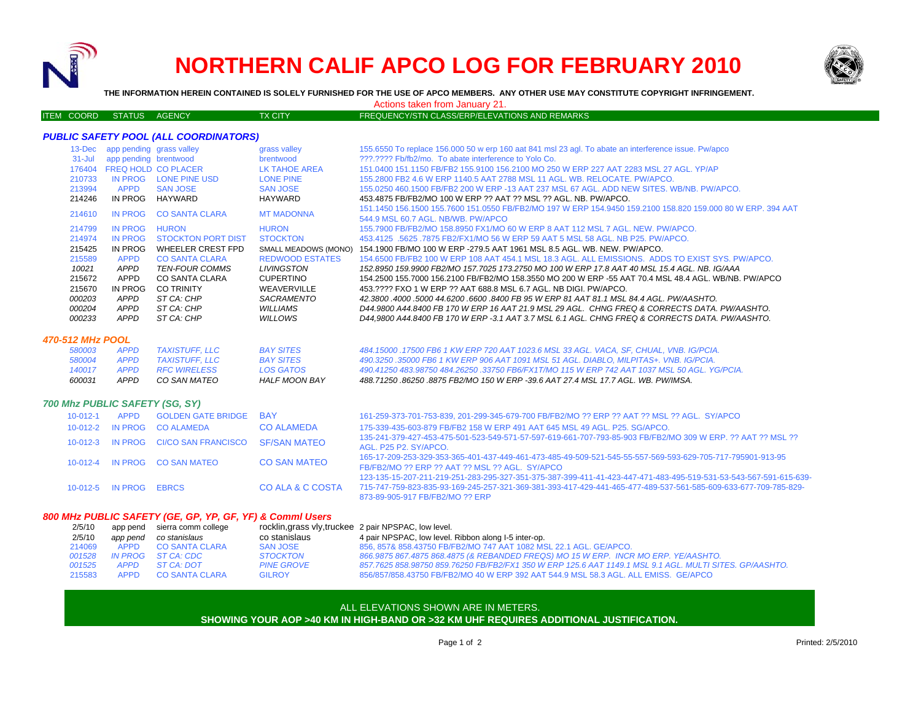

# **NORTHERN CALIF APCO LOG FOR FEBRUARY 2010**



**THE INFORMATION HEREIN CONTAINED IS SOLELY FURNISHED FOR THE USE OF APCO MEMBERS. ANY OTHER USE MAY CONSTITUTE COPYRIGHT INFRINGEMENT.**

Actions taken from January 21.

ITEM COORD STATUS AGENCY TX CITY TX CITY FREQUENCY/STN CLASS/ERP/ELEVATIONS AND REMARKS

### *PUBLIC SAFETY POOL (ALL COORDINATORS)*

| $13$ -Dec  | app pending grass valley |                            | grass valley           | 155.6550 To replace 156.000 50 w erp 160 aat 841 msl 23 agl. To abate an interference issue. Pw/apco        |
|------------|--------------------------|----------------------------|------------------------|-------------------------------------------------------------------------------------------------------------|
| $31 -$ Jul | app pending brentwood    |                            | brentwood              | 222.2222 Fb/fb2/mo. To abate interference to Yolo Co.                                                       |
| 176404     |                          | <b>FREQ HOLD CO PLACER</b> | LK TAHOE AREA          | 151.0400 151.1150 FB/FB2 155.9100 156.2100 MO 250 W ERP 227 AAT 2283 MSL 27 AGL, YP/AP                      |
| 210733     | IN PROG                  | LONE PINE USD              | <b>LONE PINE</b>       | 155,2800 FB2 4.6 W ERP 1140.5 AAT 2788 MSL 11 AGL, WB, RELOCATE, PW/APCO,                                   |
| 213994     | <b>APPD</b>              | <b>SAN JOSE</b>            | <b>SAN JOSE</b>        | 155,0250 460,1500 FB/FB2 200 W ERP -13 AAT 237 MSL 67 AGL, ADD NEW SITES, WB/NB, PW/APCO,                   |
| 214246     | IN PROG                  | HAYWARD                    | HAYWARD                | 453.4875 FB/FB2/MO 100 W ERP ?? AAT ?? MSL ?? AGL. NB. PW/APCO.                                             |
|            | IN PROG                  | <b>CO SANTA CLARA</b>      | <b>MT MADONNA</b>      | 151.1450 156.1500 155.7600 151.0550 FB/FB2/MO 197 W ERP 154.9450 159.2100 158.820 159.000 80 W ERP. 394 AAT |
| 214610     |                          |                            |                        | 544.9 MSL 60.7 AGL, NB/WB, PW/APCO                                                                          |
| 214799     | IN PROG                  | <b>HURON</b>               | <b>HURON</b>           | 155.7900 FB/FB2/MO 158.8950 FX1/MO 60 W ERP 8 AAT 112 MSL 7 AGL. NEW, PW/APCO,                              |
| 214974     | IN PROG                  | STOCKTON PORT DIST         | <b>STOCKTON</b>        | 453.4125 .5625 .7875 FB2/FX1/MO 56 W ERP 59 AAT 5 MSL 58 AGL, NB P25, PW/APCO,                              |
| 215425     | IN PROG                  | WHEELER CREST FPD          | SMALL MEADOWS (MONO)   | 154.1900 FB/MO 100 W ERP -279.5 AAT 1961 MSL 8.5 AGL. WB. NEW. PW/APCO.                                     |
| 215589     | <b>APPD</b>              | <b>CO SANTA CLARA</b>      | <b>REDWOOD ESTATES</b> | 154,6500 FB/FB2 100 W ERP 108 AAT 454.1 MSL 18.3 AGL. ALL EMISSIONS. ADDS TO EXIST SYS. PW/APCO.            |
| 10021      | APPD                     | <b>TEN-FOUR COMMS</b>      | LIVINGSTON             | 152.8950 159.9900 FB2/MO 157.7025 173.2750 MO 100 W ERP 17.8 AAT 40 MSL 15.4 AGL. NB. IG/AAA                |
| 215672     | <b>APPD</b>              | CO SANTA CLARA             | <b>CUPERTINO</b>       | 154.2500 155.7000 156.2100 FB/FB2/MO 158.3550 MO 200 W ERP -55 AAT 70.4 MSL 48.4 AGL. WB/NB. PW/APCO        |
| 215670     | IN PROG                  | <b>CO TRINITY</b>          | WEAVERVILLE            | 453.???? FXO 1 W ERP ?? AAT 688.8 MSL 6.7 AGL. NB DIGL PW/APCO.                                             |
| 000203     | APPD                     | ST CA: CHP                 | <b>SACRAMENTO</b>      | 42.3800 4000 5000 44.6200 6600 8400 FB 95 W ERP 81 AAT 81.1 MSL 84.4 AGL, PW/AASHTO,                        |
| 000204     | APPD                     | ST CA: CHP                 | <b>WILLIAMS</b>        | D44,9800 A44,8400 FB 170 W ERP 16 AAT 21.9 MSL 29 AGL. CHNG FREQ & CORRECTS DATA. PW/AASHTO.                |
| 000233     | <b>APPD</b>              | ST CA: CHP                 | WILLOWS                | D44.9800 A44.8400 FB 170 W ERP -3.1 AAT 3.7 MSL 6.1 AGL. CHNG FREQ & CORRECTS DATA. PW/AASHTO.              |

#### *470-512 MHz POOL*

| 600031 | APPD | CO SAN MATEO      | HALF MOON BAY    | 488.71250 .86250 .8875 FB2/MO 150 W ERP -39.6 AAT 27.4 MSL 17.7 AGL. WB. PW/IMSA.            |
|--------|------|-------------------|------------------|----------------------------------------------------------------------------------------------|
| 140017 |      | APPD RFC WIRELESS | LOS GATOS        | 490.41250 483.98750 484.26250 .33750 FB6/FX1T/MO 115 W ERP 742 AAT 1037 MSL 50 AGL, YG/PCIA. |
| 580004 | APPD | TAXISTUFF. LLC    | <b>BAY SITES</b> | 490.3250 .35000 FB6 1 KW ERP 906 AAT 1091 MSL 51 AGL. DIABLO. MILPITAS+. VNB. IG/PCIA.       |
| 580003 | APPD | TAXISTUFF. LLC    | <b>BAY SITES</b> | 484.15000 .17500 FB6 1 KW ERP 720 AAT 1023.6 MSL 33 AGL. VACA. SF. CHUAL. VNB. IG/PCIA.      |

#### *700 Mhz PUBLIC SAFETY (SG, SY)*

| $10 - 012 - 1$ | APPD                   | <b>GOLDEN GATE BRIDGE</b>                         | <b>BAY</b>          | 161-259-373-701-753-839, 201-299-345-679-700 FB/FB2/MO ?? ERP ?? AAT ?? MSL ?? AGL. SY/APCO                                                                                                                                                                            |
|----------------|------------------------|---------------------------------------------------|---------------------|------------------------------------------------------------------------------------------------------------------------------------------------------------------------------------------------------------------------------------------------------------------------|
|                |                        | 10-012-2 IN PROG CO ALAMEDA                       | <b>CO ALAMEDA</b>   | 175-339-435-603-879 FB/FB2 158 W ERP 491 AAT 645 MSL 49 AGL, P25, SG/APCO,                                                                                                                                                                                             |
|                |                        | 10-012-3 IN PROG CI/CO SAN FRANCISCO SF/SAN MATEO |                     | 135-241-379-427-453-475-501-523-549-571-57-597-619-661-707-793-85-903 FB/FB2/MO 309 W ERP. ?? AAT ?? MSL ??<br>AGL, P25 P2, SY/APCO.                                                                                                                                   |
|                |                        | 10-012-4 IN PROG CO SAN MATEO                     | <b>CO SAN MATEO</b> | 165-17-209-253-329-353-365-401-437-449-461-473-485-49-509-521-545-55-557-569-593-629-705-717-795901-913-95<br>FB/FB2/MO ?? ERP ?? AAT ?? MSL ?? AGL. SY/APCO                                                                                                           |
|                | 10-012-5 IN PROG EBRCS |                                                   | CO ALA & C COSTA    | 123-135-15-207-211-219-251-283-295-327-351-375-387-399-411-41-423-447-471-483-495-519-531-53-543-567-591-615-639-<br>715-747-759-823-835-93-169-245-257-321-369-381-393-417-429-441-465-477-489-537-561-585-609-633-677-709-785-829<br>873-89-905-917 FB/FB2/MO ?? ERP |

#### *800 MHz PUBLIC SAFETY (GE, GP, YP, GF, YF) & Comml Users*

| 2/5/10 |          | app pend sierra comm college | rocklin, grass vly, truckee 2 pair NPSPAC, low level. |                                                                                                         |
|--------|----------|------------------------------|-------------------------------------------------------|---------------------------------------------------------------------------------------------------------|
| 2/5/10 | app pend | co stanislaus                | co stanislaus                                         | 4 pair NPSPAC, low level. Ribbon along I-5 inter-op.                                                    |
| 214069 |          | APPD CO SANTA CLARA          | SAN JOSE                                              | 856, 857& 858,43750 FB/FB2/MO 747 AAT 1082 MSL 22.1 AGL, GE/APCO,                                       |
| 001528 |          | IN PROG ST CA: CDC           | STOCKTON                                              | 866.9875 867.4875 868.4875 (& REBANDED FREQS) MO 15 W ERP. INCR MO ERP. YE/AASHTO.                      |
| 001525 |          | APPD ST CA DOT               | <b>PINE GROVE</b>                                     | 857.7625 858.98750 859.76250 FB/FB2/FX1 350 W ERP 125.6 AAT 1149.1 MSL 9.1 AGL. MULTI SITES. GP/AASHTO. |
| 215583 |          | APPD CO SANTA CLARA          | <b>GILROY</b>                                         | 856/857/858.43750 FB/FB2/MO 40 W ERP 392 AAT 544.9 MSL 58.3 AGL. ALL EMISS. GE/APCO                     |

#### ALL ELEVATIONS SHOWN ARE IN METERS.

## **SHOWING YOUR AOP >40 KM IN HIGH-BAND OR >32 KM UHF REQUIRES ADDITIONAL JUSTIFICATION.**